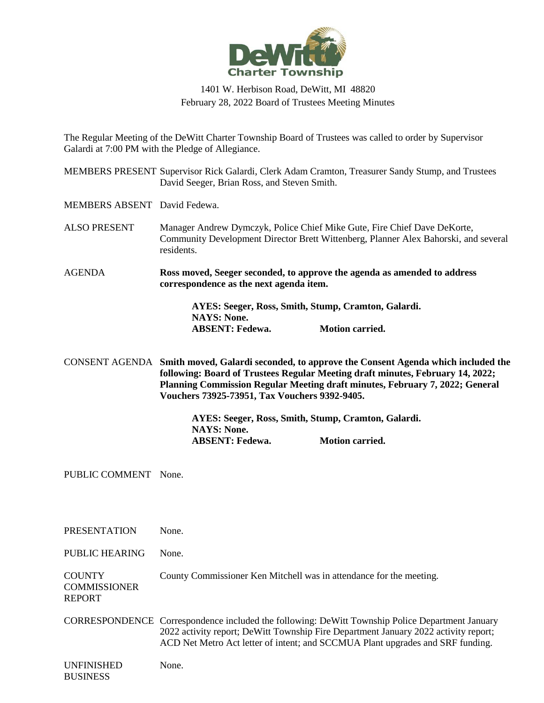

## 1401 W. Herbison Road, DeWitt, MI 48820 February 28, 2022 Board of Trustees Meeting Minutes

The Regular Meeting of the DeWitt Charter Township Board of Trustees was called to order by Supervisor Galardi at 7:00 PM with the Pledge of Allegiance.

MEMBERS PRESENT Supervisor Rick Galardi, Clerk Adam Cramton, Treasurer Sandy Stump, and Trustees David Seeger, Brian Ross, and Steven Smith.

MEMBERS ABSENT David Fedewa.

- ALSO PRESENT Manager Andrew Dymczyk, Police Chief Mike Gute, Fire Chief Dave DeKorte, Community Development Director Brett Wittenberg, Planner Alex Bahorski, and several residents.
- AGENDA **Ross moved, Seeger seconded, to approve the agenda as amended to address correspondence as the next agenda item.**

**AYES: Seeger, Ross, Smith, Stump, Cramton, Galardi. NAYS: None. ABSENT: Fedewa. Motion carried.**

CONSENT AGENDA **Smith moved, Galardi seconded, to approve the Consent Agenda which included the following: Board of Trustees Regular Meeting draft minutes, February 14, 2022; Planning Commission Regular Meeting draft minutes, February 7, 2022; General Vouchers 73925-73951, Tax Vouchers 9392-9405.**

> **AYES: Seeger, Ross, Smith, Stump, Cramton, Galardi. NAYS: None. ABSENT: Fedewa. Motion carried.**

PUBLIC COMMENT None.

PRESENTATION None.

PUBLIC HEARING None.

**COUNTY** County Commissioner Ken Mitchell was in attendance for the meeting.

**COMMISSIONER** REPORT

CORRESPONDENCE Correspondence included the following: DeWitt Township Police Department January 2022 activity report; DeWitt Township Fire Department January 2022 activity report; ACD Net Metro Act letter of intent; and SCCMUA Plant upgrades and SRF funding.

UNFINISHED BUSINESS None.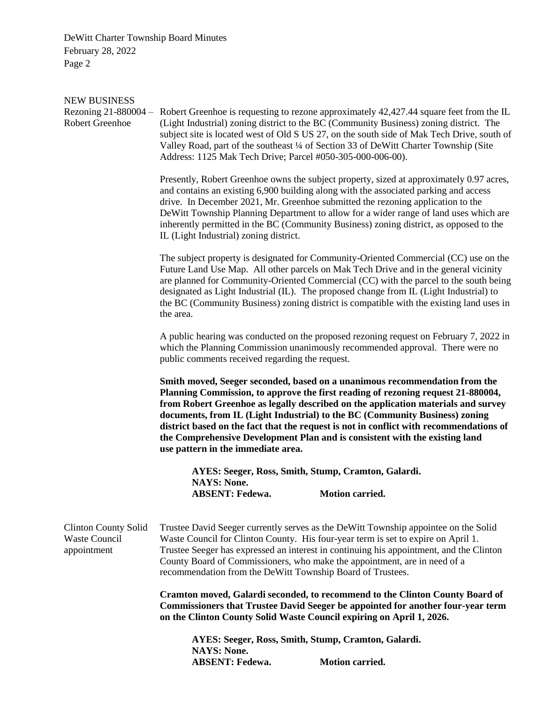| Rezoning $21-880004$ –                       | subject site is located west of Old S US 27, on the south side of Mak Tech Drive, south of                                                                                                                                                                                                                                                                                                                                                                                                                                                                                                                                                                                                                                                                                                                                                                                                                                                                                                                                                                                                                                                                                                                                                                                                                                                                                                                                                                                                                                                                                                                                                                                                                                                                                                                                                                                                                                                                                                                                                                                                                                                                                                                                                                                                                                                                                                                                                                                                                                                         |
|----------------------------------------------|----------------------------------------------------------------------------------------------------------------------------------------------------------------------------------------------------------------------------------------------------------------------------------------------------------------------------------------------------------------------------------------------------------------------------------------------------------------------------------------------------------------------------------------------------------------------------------------------------------------------------------------------------------------------------------------------------------------------------------------------------------------------------------------------------------------------------------------------------------------------------------------------------------------------------------------------------------------------------------------------------------------------------------------------------------------------------------------------------------------------------------------------------------------------------------------------------------------------------------------------------------------------------------------------------------------------------------------------------------------------------------------------------------------------------------------------------------------------------------------------------------------------------------------------------------------------------------------------------------------------------------------------------------------------------------------------------------------------------------------------------------------------------------------------------------------------------------------------------------------------------------------------------------------------------------------------------------------------------------------------------------------------------------------------------------------------------------------------------------------------------------------------------------------------------------------------------------------------------------------------------------------------------------------------------------------------------------------------------------------------------------------------------------------------------------------------------------------------------------------------------------------------------------------------------|
| IL (Light Industrial) zoning district.       |                                                                                                                                                                                                                                                                                                                                                                                                                                                                                                                                                                                                                                                                                                                                                                                                                                                                                                                                                                                                                                                                                                                                                                                                                                                                                                                                                                                                                                                                                                                                                                                                                                                                                                                                                                                                                                                                                                                                                                                                                                                                                                                                                                                                                                                                                                                                                                                                                                                                                                                                                    |
| the area.                                    | are planned for Community-Oriented Commercial (CC) with the parcel to the south being<br>the BC (Community Business) zoning district is compatible with the existing land uses in                                                                                                                                                                                                                                                                                                                                                                                                                                                                                                                                                                                                                                                                                                                                                                                                                                                                                                                                                                                                                                                                                                                                                                                                                                                                                                                                                                                                                                                                                                                                                                                                                                                                                                                                                                                                                                                                                                                                                                                                                                                                                                                                                                                                                                                                                                                                                                  |
|                                              | A public hearing was conducted on the proposed rezoning request on February 7, 2022 in                                                                                                                                                                                                                                                                                                                                                                                                                                                                                                                                                                                                                                                                                                                                                                                                                                                                                                                                                                                                                                                                                                                                                                                                                                                                                                                                                                                                                                                                                                                                                                                                                                                                                                                                                                                                                                                                                                                                                                                                                                                                                                                                                                                                                                                                                                                                                                                                                                                             |
| use pattern in the immediate area.           |                                                                                                                                                                                                                                                                                                                                                                                                                                                                                                                                                                                                                                                                                                                                                                                                                                                                                                                                                                                                                                                                                                                                                                                                                                                                                                                                                                                                                                                                                                                                                                                                                                                                                                                                                                                                                                                                                                                                                                                                                                                                                                                                                                                                                                                                                                                                                                                                                                                                                                                                                    |
| <b>NAYS: None.</b><br><b>ABSENT: Fedewa.</b> | <b>Motion carried.</b>                                                                                                                                                                                                                                                                                                                                                                                                                                                                                                                                                                                                                                                                                                                                                                                                                                                                                                                                                                                                                                                                                                                                                                                                                                                                                                                                                                                                                                                                                                                                                                                                                                                                                                                                                                                                                                                                                                                                                                                                                                                                                                                                                                                                                                                                                                                                                                                                                                                                                                                             |
|                                              |                                                                                                                                                                                                                                                                                                                                                                                                                                                                                                                                                                                                                                                                                                                                                                                                                                                                                                                                                                                                                                                                                                                                                                                                                                                                                                                                                                                                                                                                                                                                                                                                                                                                                                                                                                                                                                                                                                                                                                                                                                                                                                                                                                                                                                                                                                                                                                                                                                                                                                                                                    |
|                                              |                                                                                                                                                                                                                                                                                                                                                                                                                                                                                                                                                                                                                                                                                                                                                                                                                                                                                                                                                                                                                                                                                                                                                                                                                                                                                                                                                                                                                                                                                                                                                                                                                                                                                                                                                                                                                                                                                                                                                                                                                                                                                                                                                                                                                                                                                                                                                                                                                                                                                                                                                    |
| <b>NAYS: None.</b>                           | Motion carried.                                                                                                                                                                                                                                                                                                                                                                                                                                                                                                                                                                                                                                                                                                                                                                                                                                                                                                                                                                                                                                                                                                                                                                                                                                                                                                                                                                                                                                                                                                                                                                                                                                                                                                                                                                                                                                                                                                                                                                                                                                                                                                                                                                                                                                                                                                                                                                                                                                                                                                                                    |
|                                              | Robert Greenhoe is requesting to rezone approximately 42,427.44 square feet from the IL<br>(Light Industrial) zoning district to the BC (Community Business) zoning district. The<br>Valley Road, part of the southeast 1/4 of Section 33 of DeWitt Charter Township (Site<br>Address: 1125 Mak Tech Drive; Parcel #050-305-000-006-00).<br>Presently, Robert Greenhoe owns the subject property, sized at approximately 0.97 acres,<br>and contains an existing 6,900 building along with the associated parking and access<br>drive. In December 2021, Mr. Greenhoe submitted the rezoning application to the<br>DeWitt Township Planning Department to allow for a wider range of land uses which are<br>inherently permitted in the BC (Community Business) zoning district, as opposed to the<br>The subject property is designated for Community-Oriented Commercial (CC) use on the<br>Future Land Use Map. All other parcels on Mak Tech Drive and in the general vicinity<br>designated as Light Industrial (IL). The proposed change from IL (Light Industrial) to<br>which the Planning Commission unanimously recommended approval. There were no<br>public comments received regarding the request.<br>Smith moved, Seeger seconded, based on a unanimous recommendation from the<br>Planning Commission, to approve the first reading of rezoning request 21-880004,<br>from Robert Greenhoe as legally described on the application materials and survey<br>documents, from IL (Light Industrial) to the BC (Community Business) zoning<br>district based on the fact that the request is not in conflict with recommendations of<br>the Comprehensive Development Plan and is consistent with the existing land<br>AYES: Seeger, Ross, Smith, Stump, Cramton, Galardi.<br>Trustee David Seeger currently serves as the DeWitt Township appointee on the Solid<br>Waste Council for Clinton County. His four-year term is set to expire on April 1.<br>Trustee Seeger has expressed an interest in continuing his appointment, and the Clinton<br>County Board of Commissioners, who make the appointment, are in need of a<br>recommendation from the DeWitt Township Board of Trustees.<br><b>Cramton moved, Galardi seconded, to recommend to the Clinton County Board of</b><br><b>Commissioners that Trustee David Seeger be appointed for another four-year term</b><br>on the Clinton County Solid Waste Council expiring on April 1, 2026.<br>AYES: Seeger, Ross, Smith, Stump, Cramton, Galardi.<br><b>ABSENT: Fedewa.</b> |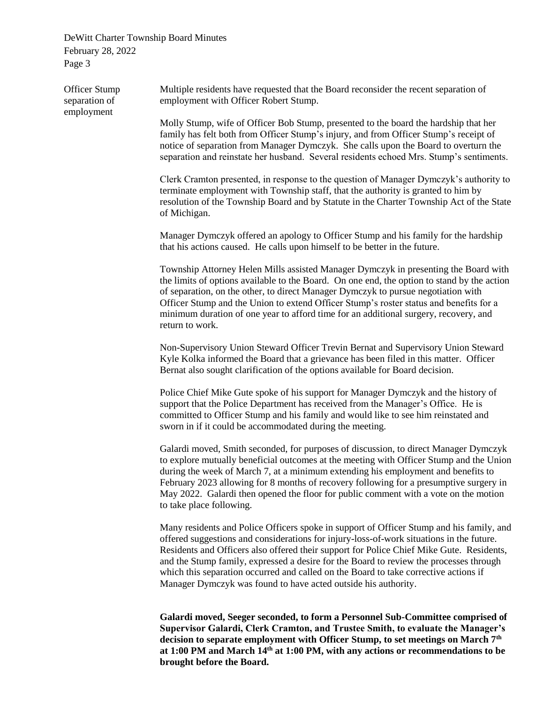Officer Stump separation of employment Multiple residents have requested that the Board reconsider the recent separation of employment with Officer Robert Stump. Molly Stump, wife of Officer Bob Stump, presented to the board the hardship that her family has felt both from Officer Stump's injury, and from Officer Stump's receipt of notice of separation from Manager Dymczyk. She calls upon the Board to overturn the separation and reinstate her husband. Several residents echoed Mrs. Stump's sentiments. Clerk Cramton presented, in response to the question of Manager Dymczyk's authority to terminate employment with Township staff, that the authority is granted to him by resolution of the Township Board and by Statute in the Charter Township Act of the State of Michigan. Manager Dymczyk offered an apology to Officer Stump and his family for the hardship that his actions caused. He calls upon himself to be better in the future. Township Attorney Helen Mills assisted Manager Dymczyk in presenting the Board with the limits of options available to the Board. On one end, the option to stand by the action of separation, on the other, to direct Manager Dymczyk to pursue negotiation with Officer Stump and the Union to extend Officer Stump's roster status and benefits for a minimum duration of one year to afford time for an additional surgery, recovery, and return to work. Non-Supervisory Union Steward Officer Trevin Bernat and Supervisory Union Steward Kyle Kolka informed the Board that a grievance has been filed in this matter. Officer Bernat also sought clarification of the options available for Board decision. Police Chief Mike Gute spoke of his support for Manager Dymczyk and the history of support that the Police Department has received from the Manager's Office. He is committed to Officer Stump and his family and would like to see him reinstated and sworn in if it could be accommodated during the meeting. Galardi moved, Smith seconded, for purposes of discussion, to direct Manager Dymczyk to explore mutually beneficial outcomes at the meeting with Officer Stump and the Union during the week of March 7, at a minimum extending his employment and benefits to February 2023 allowing for 8 months of recovery following for a presumptive surgery in May 2022. Galardi then opened the floor for public comment with a vote on the motion to take place following. Many residents and Police Officers spoke in support of Officer Stump and his family, and offered suggestions and considerations for injury-loss-of-work situations in the future. Residents and Officers also offered their support for Police Chief Mike Gute. Residents, and the Stump family, expressed a desire for the Board to review the processes through which this separation occurred and called on the Board to take corrective actions if Manager Dymczyk was found to have acted outside his authority.

> **Galardi moved, Seeger seconded, to form a Personnel Sub-Committee comprised of Supervisor Galardi, Clerk Cramton, and Trustee Smith, to evaluate the Manager's decision to separate employment with Officer Stump, to set meetings on March 7th at 1:00 PM and March 14th at 1:00 PM, with any actions or recommendations to be brought before the Board.**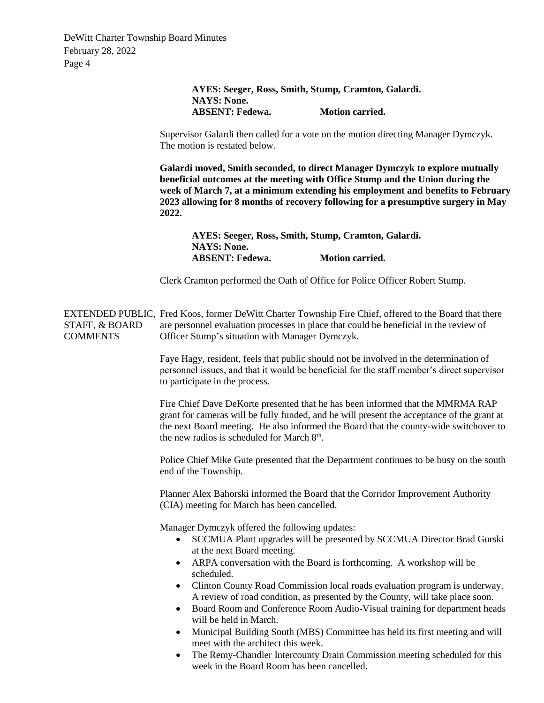| AYES: Seeger, Ross, Smith, Stump, Cramton, Galardi.<br><b>NAYS: None.</b><br><b>ABSENT: Fedewa.</b><br><b>Motion carried.</b><br>Supervisor Galardi then called for a vote on the motion directing Manager Dymczyk.<br>The motion is restated below.<br>Galardi moved, Smith seconded, to direct Manager Dymczyk to explore mutually<br>beneficial outcomes at the meeting with Office Stump and the Union during the<br>week of March 7, at a minimum extending his employment and benefits to February<br>2023 allowing for 8 months of recovery following for a presumptive surgery in May<br>2022.<br>AYES: Seeger, Ross, Smith, Stump, Cramton, Galardi.<br><b>NAYS: None.</b><br><b>ABSENT: Fedewa.</b><br><b>Motion carried.</b><br>Clerk Cramton performed the Oath of Office for Police Officer Robert Stump.<br>EXTENDED PUBLIC, Fred Koos, former DeWitt Charter Township Fire Chief, offered to the Board that there<br>are personnel evaluation processes in place that could be beneficial in the review of<br>STAFF, & BOARD<br><b>COMMENTS</b><br>Officer Stump's situation with Manager Dymczyk.<br>Faye Hagy, resident, feels that public should not be involved in the determination of<br>personnel issues, and that it would be beneficial for the staff member's direct supervisor<br>to participate in the process. |  |  |
|--------------------------------------------------------------------------------------------------------------------------------------------------------------------------------------------------------------------------------------------------------------------------------------------------------------------------------------------------------------------------------------------------------------------------------------------------------------------------------------------------------------------------------------------------------------------------------------------------------------------------------------------------------------------------------------------------------------------------------------------------------------------------------------------------------------------------------------------------------------------------------------------------------------------------------------------------------------------------------------------------------------------------------------------------------------------------------------------------------------------------------------------------------------------------------------------------------------------------------------------------------------------------------------------------------------------------------------------|--|--|
|                                                                                                                                                                                                                                                                                                                                                                                                                                                                                                                                                                                                                                                                                                                                                                                                                                                                                                                                                                                                                                                                                                                                                                                                                                                                                                                                            |  |  |
|                                                                                                                                                                                                                                                                                                                                                                                                                                                                                                                                                                                                                                                                                                                                                                                                                                                                                                                                                                                                                                                                                                                                                                                                                                                                                                                                            |  |  |
|                                                                                                                                                                                                                                                                                                                                                                                                                                                                                                                                                                                                                                                                                                                                                                                                                                                                                                                                                                                                                                                                                                                                                                                                                                                                                                                                            |  |  |
|                                                                                                                                                                                                                                                                                                                                                                                                                                                                                                                                                                                                                                                                                                                                                                                                                                                                                                                                                                                                                                                                                                                                                                                                                                                                                                                                            |  |  |
|                                                                                                                                                                                                                                                                                                                                                                                                                                                                                                                                                                                                                                                                                                                                                                                                                                                                                                                                                                                                                                                                                                                                                                                                                                                                                                                                            |  |  |
|                                                                                                                                                                                                                                                                                                                                                                                                                                                                                                                                                                                                                                                                                                                                                                                                                                                                                                                                                                                                                                                                                                                                                                                                                                                                                                                                            |  |  |
|                                                                                                                                                                                                                                                                                                                                                                                                                                                                                                                                                                                                                                                                                                                                                                                                                                                                                                                                                                                                                                                                                                                                                                                                                                                                                                                                            |  |  |
|                                                                                                                                                                                                                                                                                                                                                                                                                                                                                                                                                                                                                                                                                                                                                                                                                                                                                                                                                                                                                                                                                                                                                                                                                                                                                                                                            |  |  |
| Fire Chief Dave DeKorte presented that he has been informed that the MMRMA RAP<br>grant for cameras will be fully funded, and he will present the acceptance of the grant at<br>the next Board meeting. He also informed the Board that the county-wide switchover to<br>the new radios is scheduled for March 8 <sup>th</sup> .                                                                                                                                                                                                                                                                                                                                                                                                                                                                                                                                                                                                                                                                                                                                                                                                                                                                                                                                                                                                           |  |  |
| Police Chief Mike Gute presented that the Department continues to be busy on the south<br>end of the Township.                                                                                                                                                                                                                                                                                                                                                                                                                                                                                                                                                                                                                                                                                                                                                                                                                                                                                                                                                                                                                                                                                                                                                                                                                             |  |  |
| Planner Alex Bahorski informed the Board that the Corridor Improvement Authority<br>(CIA) meeting for March has been cancelled.                                                                                                                                                                                                                                                                                                                                                                                                                                                                                                                                                                                                                                                                                                                                                                                                                                                                                                                                                                                                                                                                                                                                                                                                            |  |  |
| Manager Dymczyk offered the following updates:<br>SCCMUA Plant upgrades will be presented by SCCMUA Director Brad Gurski<br>at the next Board meeting.<br>ARPA conversation with the Board is forthcoming. A workshop will be<br>$\bullet$<br>scheduled.<br>Clinton County Road Commission local roads evaluation program is underway.<br>٠<br>A review of road condition, as presented by the County, will take place soon.<br>Board Room and Conference Room Audio-Visual training for department heads<br>$\bullet$<br>will be held in March.                                                                                                                                                                                                                                                                                                                                                                                                                                                                                                                                                                                                                                                                                                                                                                                           |  |  |
| Municipal Building South (MBS) Committee has held its first meeting and will<br>٠<br>meet with the architect this week.<br>The Remy-Chandler Intercounty Drain Commission meeting scheduled for this<br>٠<br>week in the Board Room has been cancelled.                                                                                                                                                                                                                                                                                                                                                                                                                                                                                                                                                                                                                                                                                                                                                                                                                                                                                                                                                                                                                                                                                    |  |  |